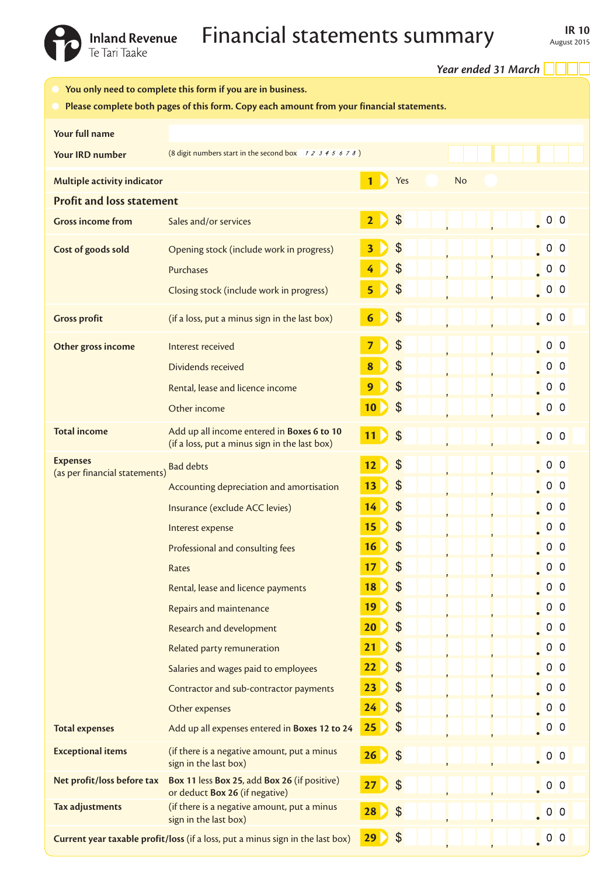Inland Revenue **Financial statements summary** IR 10<br>Te Tari Taake IR 10

|                                                                                                                                                          |                                                                                             |                         |                            | Year ended 31 March |                                                                                         |  |  |  |
|----------------------------------------------------------------------------------------------------------------------------------------------------------|---------------------------------------------------------------------------------------------|-------------------------|----------------------------|---------------------|-----------------------------------------------------------------------------------------|--|--|--|
| You only need to complete this form if you are in business.<br>Please complete both pages of this form. Copy each amount from your financial statements. |                                                                                             |                         |                            |                     |                                                                                         |  |  |  |
| Your full name                                                                                                                                           |                                                                                             |                         |                            |                     |                                                                                         |  |  |  |
| <b>Your IRD number</b>                                                                                                                                   | (8 digit numbers start in the second box $12345678$ )                                       |                         |                            |                     |                                                                                         |  |  |  |
| Multiple activity indicator                                                                                                                              |                                                                                             |                         | Yes                        | <b>No</b>           |                                                                                         |  |  |  |
| <b>Profit and loss statement</b>                                                                                                                         |                                                                                             |                         |                            |                     |                                                                                         |  |  |  |
| <b>Gross income from</b>                                                                                                                                 | Sales and/or services                                                                       | $\overline{2}$          | $\boldsymbol{\mathsf{S}}$  |                     | $\begin{array}{ c c } \hline \hline \hline \hline \hline \hline \hline \end{array}$ 0 0 |  |  |  |
| Cost of goods sold                                                                                                                                       | Opening stock (include work in progress)                                                    | $\overline{\mathbf{3}}$ | $\frac{1}{2}$              |                     |                                                                                         |  |  |  |
|                                                                                                                                                          | Purchases                                                                                   | 4                       | $\frac{1}{2}$              |                     | 0 <sub>0</sub>                                                                          |  |  |  |
|                                                                                                                                                          | Closing stock (include work in progress)                                                    | 5                       | $\frac{1}{2}$              |                     | $\begin{array}{ c c } \hline \hline \hline \hline \hline \hline \hline \end{array}$ 0 0 |  |  |  |
| <b>Gross profit</b>                                                                                                                                      | (if a loss, put a minus sign in the last box)                                               | $6\phantom{1}6$         | $\frac{1}{2}$              |                     | $\begin{array}{ c c c }\n\hline\n0 & 0\n\end{array}$                                    |  |  |  |
| Other gross income                                                                                                                                       | Interest received                                                                           | $\overline{7}$          | $\mathcal{L}$              |                     |                                                                                         |  |  |  |
|                                                                                                                                                          | Dividends received                                                                          | 8                       | $\frac{1}{2}$              |                     | $\begin{bmatrix} 0 & 0 \\ 0 & 0 \end{bmatrix}$                                          |  |  |  |
|                                                                                                                                                          | Rental, lease and licence income                                                            | 9                       | $\frac{1}{2}$              |                     | 0 <sub>0</sub>                                                                          |  |  |  |
|                                                                                                                                                          | Other income                                                                                | 10                      | $\boldsymbol{\theta}$      |                     | $\begin{array}{ c c } \hline \hline \hline \hline \hline \hline \hline \end{array}$ 0 0 |  |  |  |
| <b>Total income</b>                                                                                                                                      | Add up all income entered in Boxes 6 to 10<br>(if a loss, put a minus sign in the last box) | 11)                     | $\boldsymbol{\mathcal{S}}$ |                     | $\begin{array}{ c c c }\n\hline\n0 & 0\n\end{array}$                                    |  |  |  |
| <b>Expenses</b><br>(as per financial statements)                                                                                                         | <b>Bad debts</b>                                                                            | 12                      | $\frac{1}{2}$              |                     | $\begin{array}{ c c } \hline \end{array}$ 0 0                                           |  |  |  |
|                                                                                                                                                          | Accounting depreciation and amortisation                                                    | 13                      | \$                         |                     | 0 <sub>0</sub>                                                                          |  |  |  |
|                                                                                                                                                          | Insurance (exclude ACC levies)                                                              | 14                      | $\frac{1}{2}$              |                     | 0 <sup>0</sup>                                                                          |  |  |  |
|                                                                                                                                                          | Interest expense                                                                            | 15                      | $\boldsymbol{\theta}$      |                     | 0 <sub>0</sub>                                                                          |  |  |  |
|                                                                                                                                                          | Professional and consulting fees                                                            | 16                      | $\boldsymbol{\mathsf{S}}$  |                     | 0 <sub>0</sub>                                                                          |  |  |  |
|                                                                                                                                                          | Rates                                                                                       | 17                      | $\boldsymbol{\theta}$      |                     | 0 <sub>0</sub>                                                                          |  |  |  |
|                                                                                                                                                          | Rental, lease and licence payments                                                          | 18                      | $\boldsymbol{\mathsf{S}}$  |                     | 0 <sub>0</sub>                                                                          |  |  |  |
|                                                                                                                                                          | Repairs and maintenance                                                                     | 19                      | $\frac{1}{2}$              |                     | 0 <sub>0</sub>                                                                          |  |  |  |
|                                                                                                                                                          | Research and development                                                                    | 20                      | $\frac{1}{2}$              |                     | 0 <sub>0</sub>                                                                          |  |  |  |
|                                                                                                                                                          | Related party remuneration                                                                  | 21                      | $\frac{1}{2}$              |                     | 0 <sub>0</sub>                                                                          |  |  |  |
|                                                                                                                                                          | Salaries and wages paid to employees                                                        | 22                      | $\frac{1}{2}$              |                     | 0 <sub>0</sub>                                                                          |  |  |  |
|                                                                                                                                                          | Contractor and sub-contractor payments                                                      | 23                      | $\frac{1}{2}$              |                     | 0 <sub>0</sub>                                                                          |  |  |  |
|                                                                                                                                                          | Other expenses                                                                              | 24                      | $\boldsymbol{\theta}$      |                     | 0 <sub>0</sub>                                                                          |  |  |  |
| <b>Total expenses</b>                                                                                                                                    | Add up all expenses entered in Boxes 12 to 24                                               | 25                      | $\boldsymbol{\mathcal{S}}$ |                     | $\begin{bmatrix} 0 & 0 \\ 0 & 0 \end{bmatrix}$                                          |  |  |  |
| <b>Exceptional items</b>                                                                                                                                 | (if there is a negative amount, put a minus<br>sign in the last box)                        | 26                      | $\frac{1}{2}$              |                     | $\begin{bmatrix} 0 & 0 \\ 0 & 0 \end{bmatrix}$                                          |  |  |  |
| Net profit/loss before tax                                                                                                                               | Box 11 less Box 25, add Box 26 (if positive)<br>or deduct Box 26 (if negative)              | 27                      | $\mathcal{L}$              |                     | $\begin{bmatrix} 0 & 0 \\ 0 & 0 \end{bmatrix}$                                          |  |  |  |
| Tax adjustments                                                                                                                                          | (if there is a negative amount, put a minus<br>sign in the last box)                        | 28                      | \$                         |                     | $\begin{bmatrix} 0 & 0 \\ 0 & 0 \end{bmatrix}$                                          |  |  |  |
| Current year taxable profit/loss (if a loss, put a minus sign in the last box)                                                                           |                                                                                             | 29                      | $\frac{1}{2}$              |                     | $\begin{array}{ c c } \hline \hline \hline \hline \hline \hline \hline \end{array}$ 0 0 |  |  |  |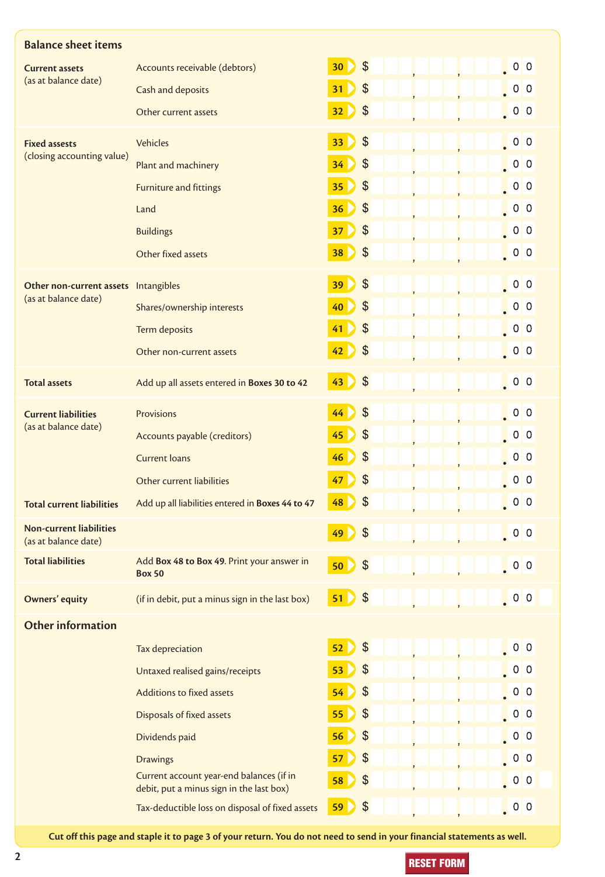| <b>Balance sheet items</b>                                   |                                                                                      |    |                            |                                                                                         |
|--------------------------------------------------------------|--------------------------------------------------------------------------------------|----|----------------------------|-----------------------------------------------------------------------------------------|
| <b>Current assets</b><br>(as at balance date)                | Accounts receivable (debtors)                                                        | 30 | $\boldsymbol{\mathsf{S}}$  | $\begin{array}{ c c c c c }\n\hline\n\hline\n\hline\n\end{array}$ 0   0                 |
|                                                              | Cash and deposits                                                                    | 31 | $\boldsymbol{\theta}$      | $\begin{array}{ c c } \hline \hline \hline \hline \hline \hline \hline \end{array}$ 0 0 |
|                                                              | Other current assets                                                                 | 32 | $\frac{1}{2}$              | $\begin{array}{ c c c }\n\hline\n0 & 0\n\end{array}$                                    |
| <b>Fixed assests</b><br>(closing accounting value)           | <b>Vehicles</b>                                                                      | 33 | $\frac{1}{2}$              | $\begin{array}{ c c c c c }\n\hline\n\hline\n\hline\n\end{array}$ 0   0                 |
|                                                              | Plant and machinery                                                                  | 34 | $\frac{1}{2}$              | $\begin{array}{ c c } \hline \hline \hline \hline \hline \hline \hline \end{array}$ 0 0 |
|                                                              | <b>Furniture and fittings</b>                                                        | 35 | $\frac{1}{2}$              | $\begin{bmatrix} 0 & 0 \\ 0 & 0 \end{bmatrix}$                                          |
|                                                              | Land                                                                                 | 36 | $\frac{1}{2}$              | $\begin{array}{ c c c }\n\hline\n0 & 0\n\end{array}$                                    |
|                                                              | <b>Buildings</b>                                                                     | 37 | $\boldsymbol{\mathcal{S}}$ | $\begin{array}{ c c c }\n\hline\n0 & 0\n\end{array}$                                    |
|                                                              | Other fixed assets                                                                   | 38 | $\frac{1}{2}$              | $\begin{array}{ c c c }\n\hline\n0 & 0\n\end{array}$                                    |
| Other non-current assets Intangibles<br>(as at balance date) |                                                                                      | 39 | $\boldsymbol{\mathsf{S}}$  | $\begin{array}{ c c c }\n\hline\n0 & 0 \\ \hline\n0 & 0\n\end{array}$                   |
|                                                              | Shares/ownership interests                                                           | 40 | $\boldsymbol{\theta}$      | $\begin{array}{ c c c }\n\hline\n0 & 0\n\end{array}$                                    |
|                                                              | Term deposits                                                                        | 41 | $\boldsymbol{\theta}$      | $\begin{array}{ c c c }\n\hline\n0 & 0\n\end{array}$                                    |
|                                                              | Other non-current assets                                                             | 42 | $\boldsymbol{\theta}$      | $\begin{array}{ c c } \hline \hline \hline \hline \hline \hline \hline \end{array}$ 0 0 |
| <b>Total assets</b>                                          | Add up all assets entered in Boxes 30 to 42                                          | 43 | $\frac{1}{2}$              | $\begin{array}{ c c } \hline \hline \hline \hline \hline \hline \hline \end{array}$ 0 0 |
| <b>Current liabilities</b><br>(as at balance date)           | <b>Provisions</b>                                                                    | 44 | $\boldsymbol{\mathsf{S}}$  | $\begin{array}{ c c c c c }\hline \textbf{0} & \textbf{0} & \textbf{0} \end{array}$     |
|                                                              | Accounts payable (creditors)                                                         | 45 | $\boldsymbol{\theta}$      | $\begin{array}{ c c c }\n\hline\n0 & 0\n\end{array}$                                    |
|                                                              | <b>Current loans</b>                                                                 | 46 | $\boldsymbol{\mathsf{S}}$  | $\begin{array}{ c c } \hline \hline \hline \hline \hline \hline \hline \end{array}$ 0 0 |
|                                                              | Other current liabilities                                                            | 47 | $\frac{1}{2}$              | $\begin{array}{ c c c }\n\hline\n0 & 0\n\end{array}$                                    |
| <b>Total current liabilities</b>                             | Add up all liabilities entered in Boxes 44 to 47                                     | 48 | \$                         | 0 <sup>0</sup>                                                                          |
| <b>Non-current liabilities</b><br>(as at balance date)       |                                                                                      | 49 | $\boldsymbol{\mathcal{S}}$ | $\begin{array}{ c c c c c }\hline \textbf{0} & \textbf{0} & \textbf{0} \end{array}$     |
| <b>Total liabilities</b>                                     | Add Box 48 to Box 49. Print your answer in<br><b>Box 50</b>                          | 50 | $\boldsymbol{\mathsf{S}}$  | $\begin{bmatrix} 0 & 0 \\ 0 & 0 \end{bmatrix}$                                          |
| <b>Owners' equity</b>                                        | (if in debit, put a minus sign in the last box)                                      | 51 | $\boldsymbol{\theta}$      |                                                                                         |
| <b>Other information</b>                                     |                                                                                      |    |                            |                                                                                         |
|                                                              | Tax depreciation                                                                     | 52 | $\boldsymbol{\theta}$      | .00                                                                                     |
|                                                              | Untaxed realised gains/receipts                                                      | 53 | $\frac{1}{2}$              | $\begin{array}{ c c } \hline \hline \hline \hline \hline \hline \hline \end{array}$ 0 0 |
|                                                              | Additions to fixed assets                                                            | 54 | $\frac{1}{2}$              | $\begin{bmatrix} 0 & 0 \\ 0 & 0 \end{bmatrix}$                                          |
|                                                              | Disposals of fixed assets                                                            | 55 | $\frac{1}{2}$              | $\begin{array}{ c c } \hline \hline \hline \hline \hline \hline \hline \end{array}$ 0 0 |
|                                                              | Dividends paid                                                                       | 56 | $\frac{1}{2}$              | $\begin{array}{ c c c }\n\hline\n0 & 0 \\ \hline\n0 & 0\n\end{array}$                   |
|                                                              | <b>Drawings</b>                                                                      | 57 | $\frac{1}{2}$              | $\begin{array}{ c c c }\n\hline\n0 & 0\n\end{array}$                                    |
|                                                              | Current account year-end balances (if in<br>debit, put a minus sign in the last box) | 58 | $\boldsymbol{\mathsf{S}}$  | $\begin{array}{ c c c }\n\hline\n0 & 0\n\end{array}$                                    |
|                                                              | Tax-deductible loss on disposal of fixed assets                                      | 59 | $\boldsymbol{\theta}$      | $\begin{array}{ c c } \hline \hline \hline \hline \hline \hline \hline \end{array}$ 0 0 |

**Cut off this page and staple it to page 3 of your return. You do not need to send in your financial statements as well.**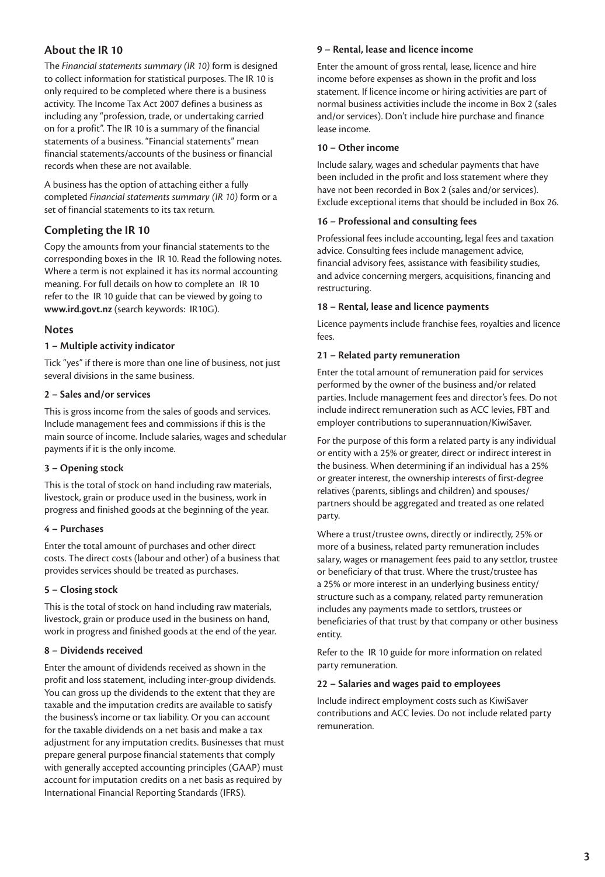# **About the IR 10**

The *Financial statements summary (IR 10)* form is designed to collect information for statistical purposes. The IR 10 is only required to be completed where there is a business activity. The Income Tax Act 2007 defines a business as including any "profession, trade, or undertaking carried on for a profit". The IR 10 is a summary of the financial statements of a business. "Financial statements" mean financial statements/accounts of the business or financial records when these are not available.

A business has the option of attaching either a fully completed *Financial statements summary (IR 10)* form or a set of financial statements to its tax return.

# **Completing the IR 10**

Copy the amounts from your financial statements to the corresponding boxes in the IR 10. Read the following notes. Where a term is not explained it has its normal accounting meaning. For full details on how to complete an IR 10 refer to the IR 10 guide that can be viewed by going to **www.ird.govt.nz** (search keywords: IR10G).

# **Notes**

# **1 – Multiple activity indicator**

Tick "yes" if there is more than one line of business, not just several divisions in the same business.

# **2 – Sales and/or services**

This is gross income from the sales of goods and services. Include management fees and commissions if this is the main source of income. Include salaries, wages and schedular payments if it is the only income.

# **3 – Opening stock**

This is the total of stock on hand including raw materials, livestock, grain or produce used in the business, work in progress and finished goods at the beginning of the year.

# **4 – Purchases**

Enter the total amount of purchases and other direct costs. The direct costs (labour and other) of a business that provides services should be treated as purchases.

#### **5 – Closing stock**

This is the total of stock on hand including raw materials, livestock, grain or produce used in the business on hand, work in progress and finished goods at the end of the year.

# **8 – Dividends received**

Enter the amount of dividends received as shown in the profit and loss statement, including inter-group dividends. You can gross up the dividends to the extent that they are taxable and the imputation credits are available to satisfy the business's income or tax liability. Or you can account for the taxable dividends on a net basis and make a tax adjustment for any imputation credits. Businesses that must prepare general purpose financial statements that comply with generally accepted accounting principles (GAAP) must account for imputation credits on a net basis as required by International Financial Reporting Standards (IFRS).

### **9 – Rental, lease and licence income**

Enter the amount of gross rental, lease, licence and hire income before expenses as shown in the profit and loss statement. If licence income or hiring activities are part of normal business activities include the income in Box 2 (sales and/or services). Don't include hire purchase and finance lease income.

### **10 – Other income**

Include salary, wages and schedular payments that have been included in the profit and loss statement where they have not been recorded in Box 2 (sales and/or services). Exclude exceptional items that should be included in Box 26.

#### **16 – Professional and consulting fees**

Professional fees include accounting, legal fees and taxation advice. Consulting fees include management advice, financial advisory fees, assistance with feasibility studies, and advice concerning mergers, acquisitions, financing and restructuring.

#### **18 – Rental, lease and licence payments**

Licence payments include franchise fees, royalties and licence fees.

#### **21 – Related party remuneration**

Enter the total amount of remuneration paid for services performed by the owner of the business and/or related parties. Include management fees and director's fees. Do not include indirect remuneration such as ACC levies, FBT and employer contributions to superannuation/KiwiSaver.

For the purpose of this form a related party is any individual or entity with a 25% or greater, direct or indirect interest in the business. When determining if an individual has a 25% or greater interest, the ownership interests of first-degree relatives (parents, siblings and children) and spouses/ partners should be aggregated and treated as one related party.

Where a trust/trustee owns, directly or indirectly, 25% or more of a business, related party remuneration includes salary, wages or management fees paid to any settlor, trustee or beneficiary of that trust. Where the trust/trustee has a 25% or more interest in an underlying business entity/ structure such as a company, related party remuneration includes any payments made to settlors, trustees or beneficiaries of that trust by that company or other business entity.

Refer to the IR 10 guide for more information on related party remuneration.

#### **22 – Salaries and wages paid to employees**

Include indirect employment costs such as KiwiSaver contributions and ACC levies. Do not include related party remuneration.